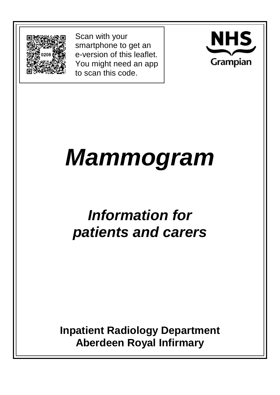

Scan with your smartphone to get an e-version of this leaflet. You might need an app to scan this code.



# *Mammogram*

# *Information for patients and carers*

**Inpatient Radiology Department Aberdeen Royal Infirmary**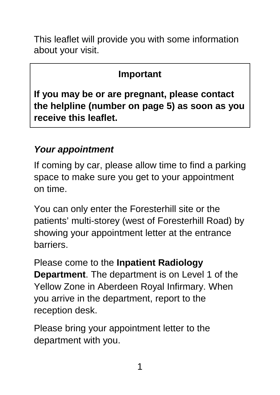This leaflet will provide you with some information about your visit.

#### **Important**

**If you may be or are pregnant, please contact the helpline (number on page 5) as soon as you receive this leaflet.** 

# *Your appointment*

If coming by car, please allow time to find a parking space to make sure you get to your appointment on time.

You can only enter the Foresterhill site or the patients' multi-storey (west of Foresterhill Road) by showing your appointment letter at the entrance barriers.

Please come to the **Inpatient Radiology Department**. The department is on Level 1 of the Yellow Zone in Aberdeen Royal Infirmary. When you arrive in the department, report to the reception desk.

Please bring your appointment letter to the department with you.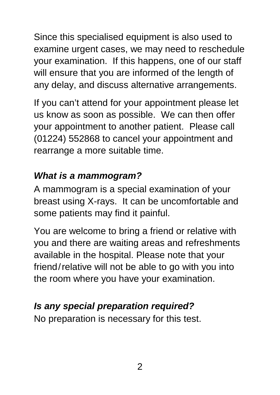Since this specialised equipment is also used to examine urgent cases, we may need to reschedule your examination. If this happens, one of our staff will ensure that you are informed of the length of any delay, and discuss alternative arrangements.

If you can't attend for your appointment please let us know as soon as possible. We can then offer your appointment to another patient. Please call (01224) 552868 to cancel your appointment and rearrange a more suitable time.

# *What is a mammogram?*

A mammogram is a special examination of your breast using X-rays. It can be uncomfortable and some patients may find it painful.

You are welcome to bring a friend or relative with you and there are waiting areas and refreshments available in the hospital. Please note that your friend/relative will not be able to go with you into the room where you have your examination.

# *Is any special preparation required?*

No preparation is necessary for this test.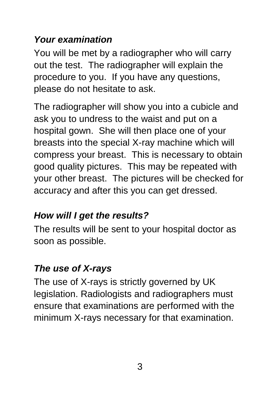### *Your examination*

You will be met by a radiographer who will carry out the test. The radiographer will explain the procedure to you. If you have any questions, please do not hesitate to ask.

The radiographer will show you into a cubicle and ask you to undress to the waist and put on a hospital gown. She will then place one of your breasts into the special X-ray machine which will compress your breast. This is necessary to obtain good quality pictures. This may be repeated with your other breast. The pictures will be checked for accuracy and after this you can get dressed.

# *How will I get the results?*

The results will be sent to your hospital doctor as soon as possible.

# *The use of X-rays*

The use of X-rays is strictly governed by UK legislation. Radiologists and radiographers must ensure that examinations are performed with the minimum X-rays necessary for that examination.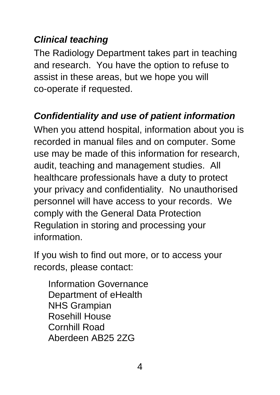### *Clinical teaching*

The Radiology Department takes part in teaching and research. You have the option to refuse to assist in these areas, but we hope you will co-operate if requested.

### *Confidentiality and use of patient information*

When you attend hospital, information about you is recorded in manual files and on computer. Some use may be made of this information for research, audit, teaching and management studies. All healthcare professionals have a duty to protect your privacy and confidentiality. No unauthorised personnel will have access to your records. We comply with the General Data Protection Regulation in storing and processing your information.

If you wish to find out more, or to access your records, please contact:

Information Governance Department of eHealth NHS Grampian Rosehill House Cornhill Road Aberdeen AB25 2ZG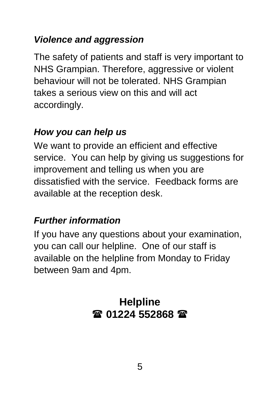### *Violence and aggression*

The safety of patients and staff is very important to NHS Grampian. Therefore, aggressive or violent behaviour will not be tolerated. NHS Grampian takes a serious view on this and will act accordingly.

#### *How you can help us*

We want to provide an efficient and effective service. You can help by giving us suggestions for improvement and telling us when you are dissatisfied with the service. Feedback forms are available at the reception desk.

# *Further information*

If you have any questions about your examination, you can call our helpline. One of our staff is available on the helpline from Monday to Friday between 9am and 4pm.

# **Helpline 01224 552868**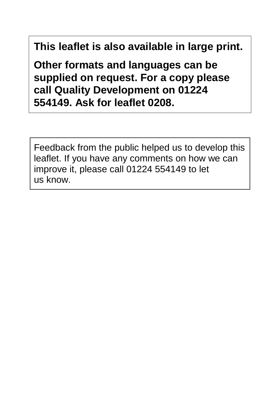**This leaflet is also available in large print.** 

**Other formats and languages can be supplied on request. For a copy please call Quality Development on 01224 554149. Ask for leaflet 0208.**

Feedback from the public helped us to develop this leaflet. If you have any comments on how we can improve it, please call 01224 554149 to let us know.